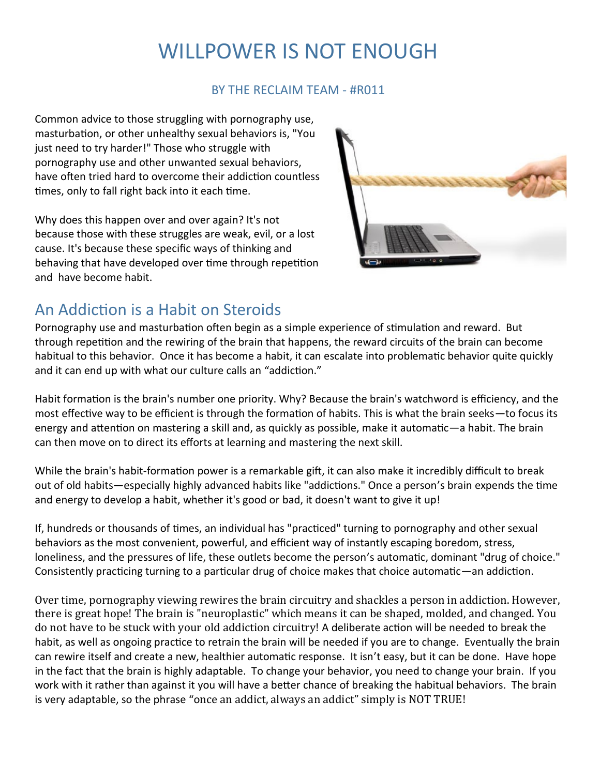# WILLPOWER IS NOT ENOUGH

### BY THE RECLAIM TEAM - #R011

Common advice to those struggling with pornography use, masturbation, or other unhealthy sexual behaviors is, "You just need to try harder!" Those who struggle with pornography use and other unwanted sexual behaviors, have often tried hard to overcome their addiction countless times, only to fall right back into it each time.

Why does this happen over and over again? It's not because those with these struggles are weak, evil, or a lost cause. It's because these specific ways of thinking and behaving that have developed over time through repetition and have become habit.



## An Addiction is a Habit on Steroids

Pornography use and masturbation often begin as a simple experience of stimulation and reward. But through repetition and the rewiring of the brain that happens, the reward circuits of the brain can become habitual to this behavior. Once it has become a habit, it can escalate into problematic behavior quite quickly and it can end up with what our culture calls an "addiction."

Habit formation is the brain's number one priority. Why? Because the brain's watchword is efficiency, and the most effective way to be efficient is through the formation of habits. This is what the brain seeks—to focus its energy and attention on mastering a skill and, as quickly as possible, make it automatic—a habit. The brain can then move on to direct its efforts at learning and mastering the next skill.

While the brain's habit-formation power is a remarkable gift, it can also make it incredibly difficult to break out of old habits—especially highly advanced habits like "addictions." Once a person's brain expends the time and energy to develop a habit, whether it's good or bad, it doesn't want to give it up!

If, hundreds or thousands of times, an individual has "practiced" turning to pornography and other sexual behaviors as the most convenient, powerful, and efficient way of instantly escaping boredom, stress, loneliness, and the pressures of life, these outlets become the person's automatic, dominant "drug of choice." Consistently practicing turning to a particular drug of choice makes that choice automatic—an addiction.

Over time, pornography viewing rewires the brain circuitry and shackles a person in addiction. However, there is great hope! The brain is "neuroplastic" which means it can be shaped, molded, and changed. You do not have to be stuck with your old addiction circuitry! A deliberate action will be needed to break the habit, as well as ongoing practice to retrain the brain will be needed if you are to change. Eventually the brain can rewire itself and create a new, healthier automatic response. It isn't easy, but it can be done. Have hope in the fact that the brain is highly adaptable. To change your behavior, you need to change your brain. If you work with it rather than against it you will have a better chance of breaking the habitual behaviors. The brain is very adaptable, so the phrase "once an addict, always an addict" simply is NOT TRUE!